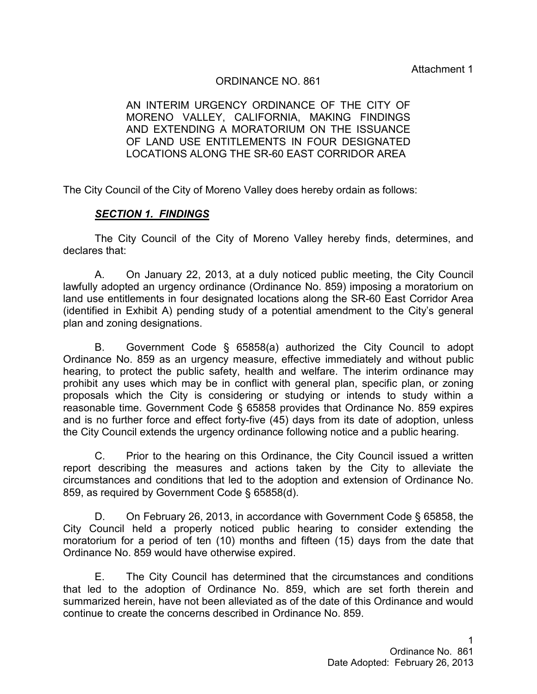Attachment 1

### ORDINANCE NO. 861

AN INTERIM URGENCY ORDINANCE OF THE CITY OF MORENO VALLEY, CALIFORNIA, MAKING FINDINGS AND EXTENDING A MORATORIUM ON THE ISSUANCE OF LAND USE ENTITLEMENTS IN FOUR DESIGNATED LOCATIONS ALONG THE SR-60 EAST CORRIDOR AREA

The City Council of the City of Moreno Valley does hereby ordain as follows:

#### *SECTION 1. FINDINGS*

The City Council of the City of Moreno Valley hereby finds, determines, and declares that:

A. On January 22, 2013, at a duly noticed public meeting, the City Council lawfully adopted an urgency ordinance (Ordinance No. 859) imposing a moratorium on land use entitlements in four designated locations along the SR-60 East Corridor Area (identified in Exhibit A) pending study of a potential amendment to the City's general plan and zoning designations.

B. Government Code § 65858(a) authorized the City Council to adopt Ordinance No. 859 as an urgency measure, effective immediately and without public hearing, to protect the public safety, health and welfare. The interim ordinance may prohibit any uses which may be in conflict with general plan, specific plan, or zoning proposals which the City is considering or studying or intends to study within a reasonable time. Government Code § 65858 provides that Ordinance No. 859 expires and is no further force and effect forty-five (45) days from its date of adoption, unless the City Council extends the urgency ordinance following notice and a public hearing.

C. Prior to the hearing on this Ordinance, the City Council issued a written report describing the measures and actions taken by the City to alleviate the circumstances and conditions that led to the adoption and extension of Ordinance No. 859, as required by Government Code § 65858(d).

D. On February 26, 2013, in accordance with Government Code § 65858, the City Council held a properly noticed public hearing to consider extending the moratorium for a period of ten (10) months and fifteen (15) days from the date that Ordinance No. 859 would have otherwise expired.

E. The City Council has determined that the circumstances and conditions that led to the adoption of Ordinance No. 859, which are set forth therein and summarized herein, have not been alleviated as of the date of this Ordinance and would continue to create the concerns described in Ordinance No. 859.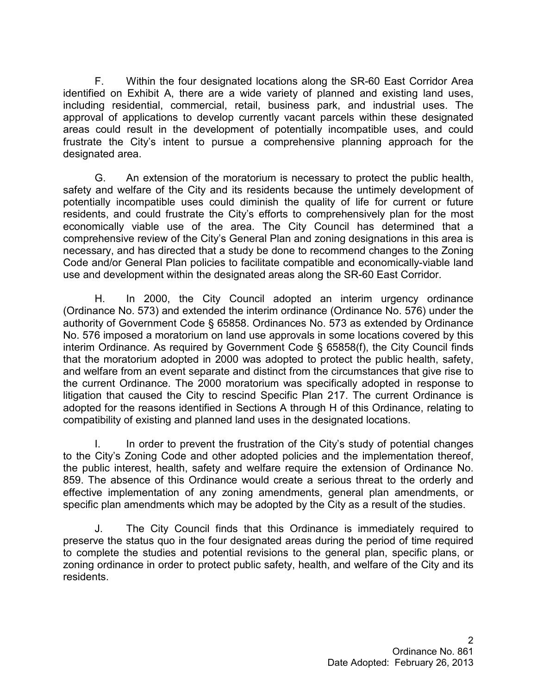F. Within the four designated locations along the SR-60 East Corridor Area identified on Exhibit A, there are a wide variety of planned and existing land uses, including residential, commercial, retail, business park, and industrial uses. The approval of applications to develop currently vacant parcels within these designated areas could result in the development of potentially incompatible uses, and could frustrate the City's intent to pursue a comprehensive planning approach for the designated area.

G. An extension of the moratorium is necessary to protect the public health, safety and welfare of the City and its residents because the untimely development of potentially incompatible uses could diminish the quality of life for current or future residents, and could frustrate the City's efforts to comprehensively plan for the most economically viable use of the area. The City Council has determined that a comprehensive review of the City's General Plan and zoning designations in this area is necessary, and has directed that a study be done to recommend changes to the Zoning Code and/or General Plan policies to facilitate compatible and economically-viable land use and development within the designated areas along the SR-60 East Corridor.

H. In 2000, the City Council adopted an interim urgency ordinance (Ordinance No. 573) and extended the interim ordinance (Ordinance No. 576) under the authority of Government Code § 65858. Ordinances No. 573 as extended by Ordinance No. 576 imposed a moratorium on land use approvals in some locations covered by this interim Ordinance. As required by Government Code § 65858(f), the City Council finds that the moratorium adopted in 2000 was adopted to protect the public health, safety, and welfare from an event separate and distinct from the circumstances that give rise to the current Ordinance. The 2000 moratorium was specifically adopted in response to litigation that caused the City to rescind Specific Plan 217. The current Ordinance is adopted for the reasons identified in Sections A through H of this Ordinance, relating to compatibility of existing and planned land uses in the designated locations.

I. In order to prevent the frustration of the City's study of potential changes to the City's Zoning Code and other adopted policies and the implementation thereof, the public interest, health, safety and welfare require the extension of Ordinance No. 859. The absence of this Ordinance would create a serious threat to the orderly and effective implementation of any zoning amendments, general plan amendments, or specific plan amendments which may be adopted by the City as a result of the studies.

J. The City Council finds that this Ordinance is immediately required to preserve the status quo in the four designated areas during the period of time required to complete the studies and potential revisions to the general plan, specific plans, or zoning ordinance in order to protect public safety, health, and welfare of the City and its residents.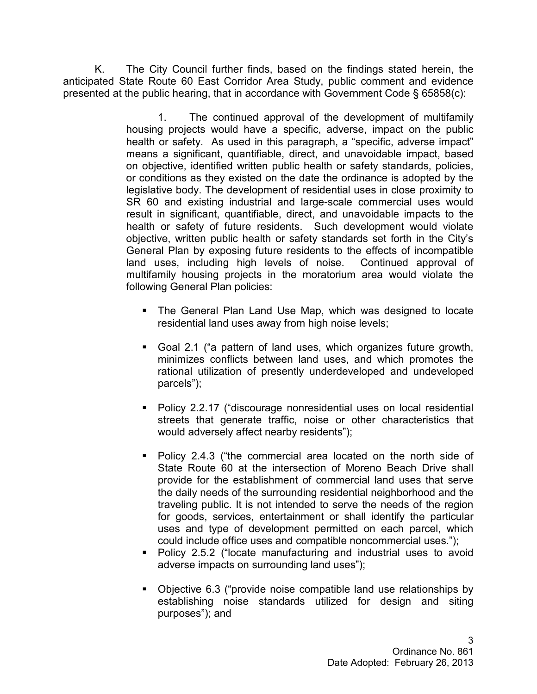K. The City Council further finds, based on the findings stated herein, the anticipated State Route 60 East Corridor Area Study, public comment and evidence presented at the public hearing, that in accordance with Government Code § 65858(c):

> 1. The continued approval of the development of multifamily housing projects would have a specific, adverse, impact on the public health or safety. As used in this paragraph, a "specific, adverse impact" means a significant, quantifiable, direct, and unavoidable impact, based on objective, identified written public health or safety standards, policies, or conditions as they existed on the date the ordinance is adopted by the legislative body. The development of residential uses in close proximity to SR 60 and existing industrial and large-scale commercial uses would result in significant, quantifiable, direct, and unavoidable impacts to the health or safety of future residents. Such development would violate objective, written public health or safety standards set forth in the City's General Plan by exposing future residents to the effects of incompatible land uses, including high levels of noise. Continued approval of multifamily housing projects in the moratorium area would violate the following General Plan policies:

- The General Plan Land Use Map, which was designed to locate residential land uses away from high noise levels;
- § Goal 2.1 ("a pattern of land uses, which organizes future growth, minimizes conflicts between land uses, and which promotes the rational utilization of presently underdeveloped and undeveloped parcels");
- § Policy 2.2.17 ("discourage nonresidential uses on local residential streets that generate traffic, noise or other characteristics that would adversely affect nearby residents");
- § Policy 2.4.3 ("the commercial area located on the north side of State Route 60 at the intersection of Moreno Beach Drive shall provide for the establishment of commercial land uses that serve the daily needs of the surrounding residential neighborhood and the traveling public. It is not intended to serve the needs of the region for goods, services, entertainment or shall identify the particular uses and type of development permitted on each parcel, which could include office uses and compatible noncommercial uses.");
- Policy 2.5.2 ("locate manufacturing and industrial uses to avoid adverse impacts on surrounding land uses");
- § Objective 6.3 ("provide noise compatible land use relationships by establishing noise standards utilized for design and siting purposes"); and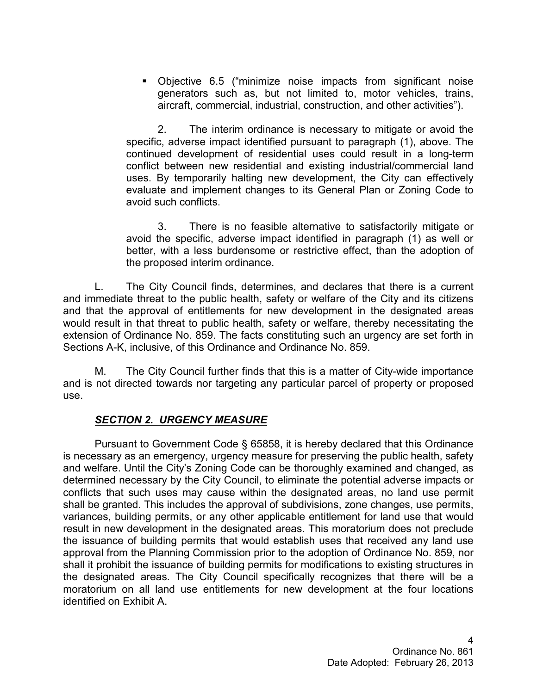§ Objective 6.5 ("minimize noise impacts from significant noise generators such as, but not limited to, motor vehicles, trains, aircraft, commercial, industrial, construction, and other activities").

 2. The interim ordinance is necessary to mitigate or avoid the specific, adverse impact identified pursuant to paragraph (1), above. The continued development of residential uses could result in a long-term conflict between new residential and existing industrial/commercial land uses. By temporarily halting new development, the City can effectively evaluate and implement changes to its General Plan or Zoning Code to avoid such conflicts.

 3. There is no feasible alternative to satisfactorily mitigate or avoid the specific, adverse impact identified in paragraph (1) as well or better, with a less burdensome or restrictive effect, than the adoption of the proposed interim ordinance.

L. The City Council finds, determines, and declares that there is a current and immediate threat to the public health, safety or welfare of the City and its citizens and that the approval of entitlements for new development in the designated areas would result in that threat to public health, safety or welfare, thereby necessitating the extension of Ordinance No. 859. The facts constituting such an urgency are set forth in Sections A-K, inclusive, of this Ordinance and Ordinance No. 859.

M. The City Council further finds that this is a matter of City-wide importance and is not directed towards nor targeting any particular parcel of property or proposed use.

# *SECTION 2. URGENCY MEASURE*

Pursuant to Government Code § 65858, it is hereby declared that this Ordinance is necessary as an emergency, urgency measure for preserving the public health, safety and welfare. Until the City's Zoning Code can be thoroughly examined and changed, as determined necessary by the City Council, to eliminate the potential adverse impacts or conflicts that such uses may cause within the designated areas, no land use permit shall be granted. This includes the approval of subdivisions, zone changes, use permits, variances, building permits, or any other applicable entitlement for land use that would result in new development in the designated areas. This moratorium does not preclude the issuance of building permits that would establish uses that received any land use approval from the Planning Commission prior to the adoption of Ordinance No. 859, nor shall it prohibit the issuance of building permits for modifications to existing structures in the designated areas. The City Council specifically recognizes that there will be a moratorium on all land use entitlements for new development at the four locations identified on Exhibit A.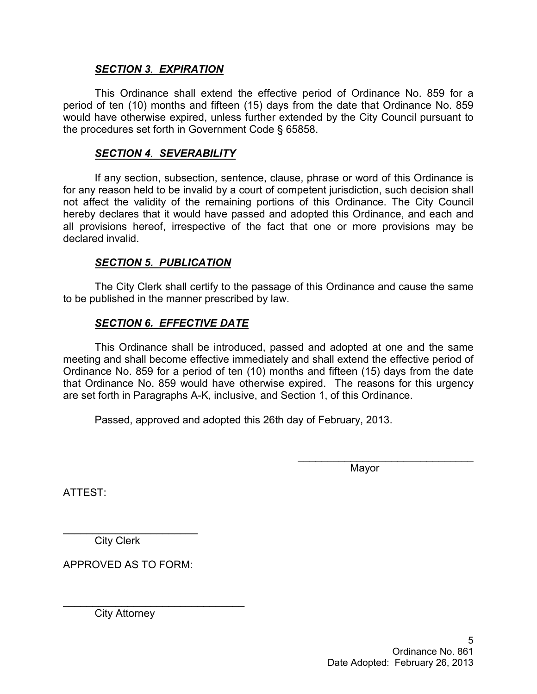### *SECTION 3. EXPIRATION*

This Ordinance shall extend the effective period of Ordinance No. 859 for a period of ten (10) months and fifteen (15) days from the date that Ordinance No. 859 would have otherwise expired, unless further extended by the City Council pursuant to the procedures set forth in Government Code § 65858.

### *SECTION 4. SEVERABILITY*

If any section, subsection, sentence, clause, phrase or word of this Ordinance is for any reason held to be invalid by a court of competent jurisdiction, such decision shall not affect the validity of the remaining portions of this Ordinance. The City Council hereby declares that it would have passed and adopted this Ordinance, and each and all provisions hereof, irrespective of the fact that one or more provisions may be declared invalid.

### *SECTION 5. PUBLICATION*

The City Clerk shall certify to the passage of this Ordinance and cause the same to be published in the manner prescribed by law.

# *SECTION 6. EFFECTIVE DATE*

This Ordinance shall be introduced, passed and adopted at one and the same meeting and shall become effective immediately and shall extend the effective period of Ordinance No. 859 for a period of ten (10) months and fifteen (15) days from the date that Ordinance No. 859 would have otherwise expired. The reasons for this urgency are set forth in Paragraphs A-K, inclusive, and Section 1, of this Ordinance.

Passed, approved and adopted this 26th day of February, 2013.

Mayor

 $\overline{\phantom{a}}$  , and the set of the set of the set of the set of the set of the set of the set of the set of the set of the set of the set of the set of the set of the set of the set of the set of the set of the set of the s

ATTEST:

 $\overline{\phantom{a}}$  , we can assume that the contract of  $\overline{\phantom{a}}$ City Clerk

APPROVED AS TO FORM:

City Attorney

 $\_$